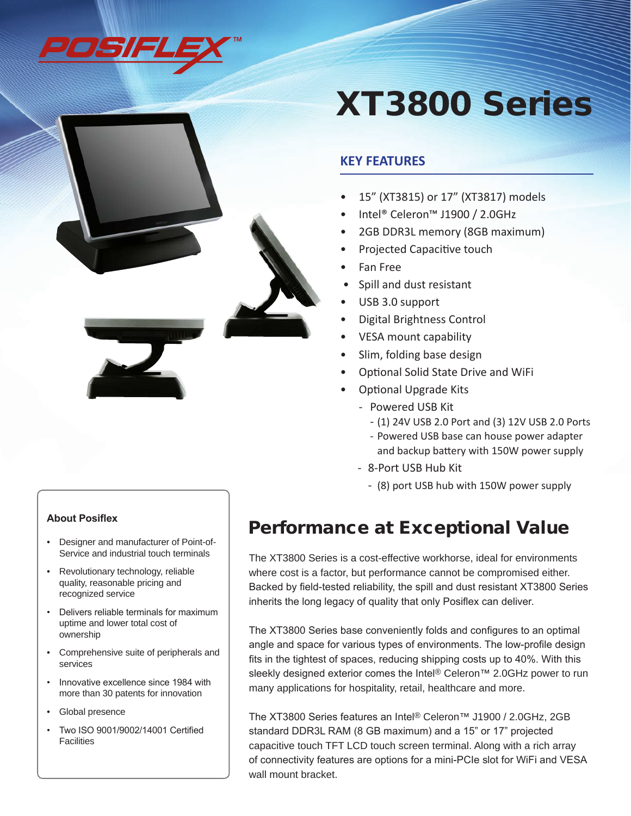

# XT3800 Series

## **KEY FEATURES**

- 15" (XT3815) or 17" (XT3817) models
- Intel® Celeron™ J1900 / 2.0GHz
- 2GB DDR3L memory (8GB maximum)
- Projected Capacitive touch
- Fan Free
- Spill and dust resistant
- USB 3.0 support
- **Digital Brightness Control**
- VESA mount capability
- Slim, folding base design
- **Optional Solid State Drive and WiFi**
- **Optional Upgrade Kits** 
	- Powered USB Kit
		- (1) 24V USB 2.0 Port and (3) 12V USB 2.0 Ports
		- Powered USB base can house power adapter and backup battery with 150W power supply
	- 8-Port USB Hub Kit
		- (8) port USB hub with 150W power supply

#### **About Posiflex**

- Designer and manufacturer of Point-of-Service and industrial touch terminals
- Revolutionary technology, reliable quality, reasonable pricing and recognized service
- Delivers reliable terminals for maximum uptime and lower total cost of ownership
- Comprehensive suite of peripherals and services
- Innovative excellence since 1984 with more than 30 patents for innovation
- Global presence
- Two ISO 9001/9002/14001 Certified **Facilities**

## Performance at Exceptional Value

The XT3800 Series is a cost-effective workhorse, ideal for environments where cost is a factor, but performance cannot be compromised either. Backed by field-tested reliability, the spill and dust resistant XT3800 Series inherits the long legacy of quality that only Posiflex can deliver.

The XT3800 Series base conveniently folds and configures to an optimal angle and space for various types of environments. The low-profile design fits in the tightest of spaces, reducing shipping costs up to 40%. With this sleekly designed exterior comes the Intel® Celeron<sup>™</sup> 2.0GHz power to run many applications for hospitality, retail, healthcare and more.

The XT3800 Series features an Intel® Celeron™ J1900 / 2.0GHz, 2GB standard DDR3L RAM (8 GB maximum) and a 15" or 17" projected capacitive touch TFT LCD touch screen terminal. Along with a rich array of connectivity features are options for a mini-PCIe slot for WiFi and VESA wall mount bracket.